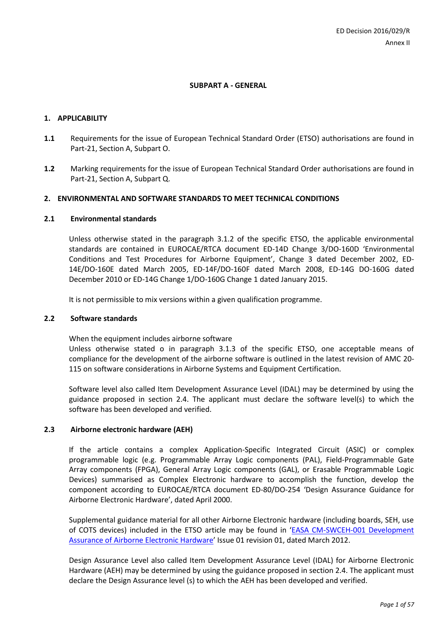# **SUBPART A - GENERAL**

#### **1. APPLICABILITY**

- **1.1** Requirements for the issue of European Technical Standard Order (ETSO) authorisations are found in Part-21, Section A, Subpart O.
- **1.2** Marking requirements for the issue of European Technical Standard Order authorisations are found in Part-21, Section A, Subpart Q.

### **2. ENVIRONMENTAL AND SOFTWARE STANDARDS TO MEET TECHNICAL CONDITIONS**

### **2.1 Environmental standards**

Unless otherwise stated in the paragraph 3.1.2 of the specific ETSO, the applicable environmental standards are contained in EUROCAE/RTCA document ED-14D Change 3/DO-160D 'Environmental Conditions and Test Procedures for Airborne Equipment', Change 3 dated December 2002, ED-14E/DO-160E dated March 2005, ED-14F/DO-160F dated March 2008, ED-14G DO-160G dated December 2010 or ED-14G Change 1/DO-160G Change 1 dated January 2015.

It is not permissible to mix versions within a given qualification programme.

#### **2.2 Software standards**

When the equipment includes airborne software

Unless otherwise stated o in paragraph 3.1.3 of the specific ETSO, one acceptable means of compliance for the development of the airborne software is outlined in the latest revision of AMC 20- 115 on software considerations in Airborne Systems and Equipment Certification.

Software level also called Item Development Assurance Level (IDAL) may be determined by using the guidance proposed in section 2.4. The applicant must declare the software level(s) to which the software has been developed and verified.

# **2.3 Airborne electronic hardware (AEH)**

If the article contains a complex Application-Specific Integrated Circuit (ASIC) or complex programmable logic (e.g. Programmable Array Logic components (PAL), Field-Programmable Gate Array components (FPGA), General Array Logic components (GAL), or Erasable Programmable Logic Devices) summarised as Complex Electronic hardware to accomplish the function, develop the component according to EUROCAE/RTCA document ED-80/DO-254 'Design Assurance Guidance for Airborne Electronic Hardware', dated April 2000.

Supplemental guidance material for all other Airborne Electronic hardware (including boards, SEH, use of COTS devices) included in the ETSO article may be found in '[EASA CM-SWCEH-001 Development](https://www.easa.europa.eu/system/files/dfu/certification-memoranda-import-EASA%20CM-SWCEH-001%20Development%20Assurance%20of%20Airborne%20Electronic%20Hardware.pdf)  [Assurance of Airborne Electronic Hardware](https://www.easa.europa.eu/system/files/dfu/certification-memoranda-import-EASA%20CM-SWCEH-001%20Development%20Assurance%20of%20Airborne%20Electronic%20Hardware.pdf)' Issue 01 revision 01, dated March 2012.

Design Assurance Level also called Item Development Assurance Level (IDAL) for Airborne Electronic Hardware (AEH) may be determined by using the guidance proposed in section 2.4. The applicant must declare the Design Assurance level (s) to which the AEH has been developed and verified.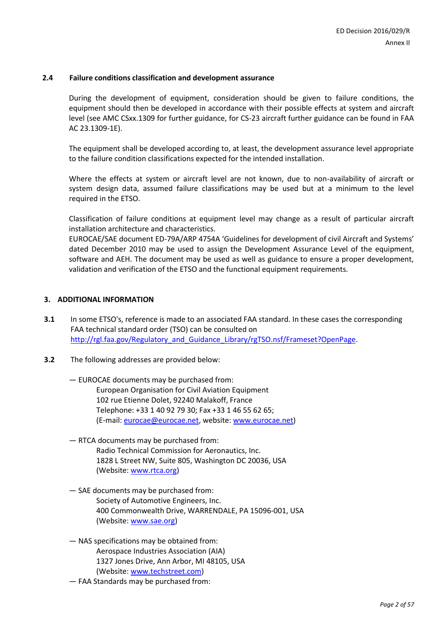# **2.4 Failure conditions classification and development assurance**

During the development of equipment, consideration should be given to failure conditions, the equipment should then be developed in accordance with their possible effects at system and aircraft level (see AMC CSxx.1309 for further guidance, for CS-23 aircraft further guidance can be found in FAA AC 23.1309-1E).

The equipment shall be developed according to, at least, the development assurance level appropriate to the failure condition classifications expected for the intended installation.

Where the effects at system or aircraft level are not known, due to non-availability of aircraft or system design data, assumed failure classifications may be used but at a minimum to the level required in the ETSO.

Classification of failure conditions at equipment level may change as a result of particular aircraft installation architecture and characteristics.

EUROCAE/SAE document ED-79A/ARP 4754A 'Guidelines for development of civil Aircraft and Systems' dated December 2010 may be used to assign the Development Assurance Level of the equipment, software and AEH. The document may be used as well as guidance to ensure a proper development, validation and verification of the ETSO and the functional equipment requirements.

## **3. ADDITIONAL INFORMATION**

- **3.1** In some ETSO's, reference is made to an associated FAA standard. In these cases the corresponding FAA technical standard order (TSO) can be consulted on [http://rgl.faa.gov/Regulatory\\_and\\_Guidance\\_Library/rgTSO.nsf/Frameset?OpenPage.](http://rgl.faa.gov/Regulatory_and_Guidance_Library/rgTSO.nsf/Frameset?OpenPage)
- **3.2** The following addresses are provided below:
	- EUROCAE documents may be purchased from: European Organisation for Civil Aviation Equipment 102 rue Etienne Dolet, 92240 Malakoff, France Telephone: +33 1 40 92 79 30; Fax +33 1 46 55 62 65; (E-mail: [eurocae@eurocae.net,](mailto:eurocae@eurocae.net) website: [www.eurocae.net\)](http://www.eurocae.net/)
	- RTCA documents may be purchased from: Radio Technical Commission for Aeronautics, Inc. 1828 L Street NW, Suite 805, Washington DC 20036, USA (Website[: www.rtca.org\)](http://www.rtca.org/)
	- SAE documents may be purchased from: Society of Automotive Engineers, Inc. 400 Commonwealth Drive, WARRENDALE, PA 15096-001, USA (Website[: www.sae.org\)](http://www.sae.org/)
	- NAS specifications may be obtained from: Aerospace Industries Association (AIA) 1327 Jones Drive, Ann Arbor, MI 48105, USA (Website[: www.techstreet.com\)](http://www.techstreet.com/)
	- FAA Standards may be purchased from: